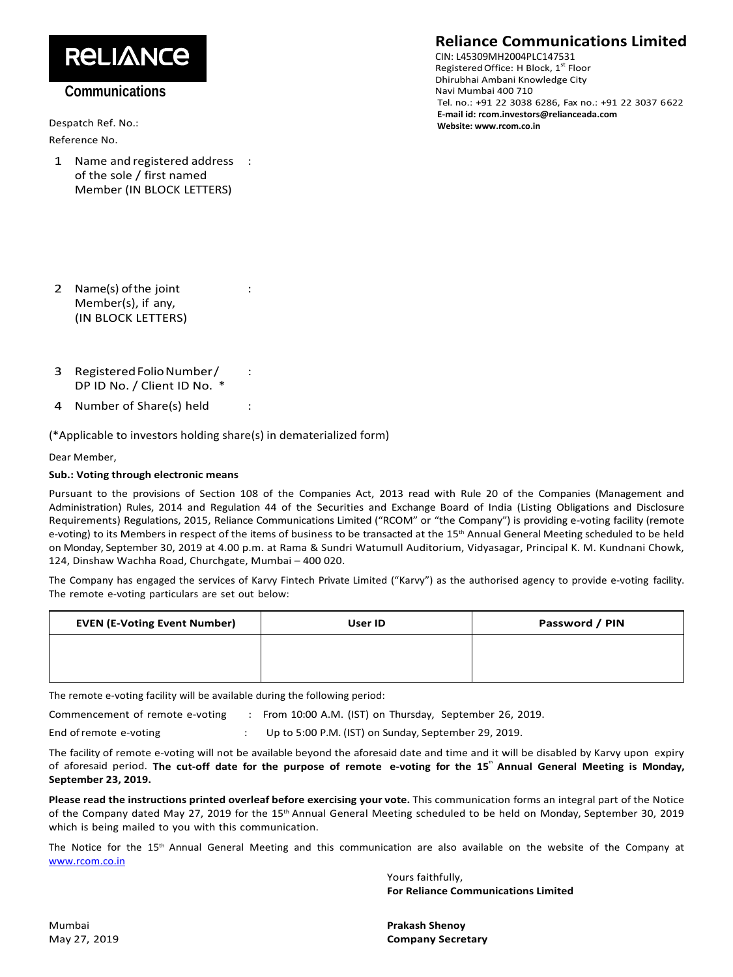# **RELIANCE**

### **Communications**

Despatch Ref. No.: Reference No.

1 Name and registered address : of the sole / first named Member (IN BLOCK LETTERS)

## **Reliance Communications Limited**

CIN: L45309MH2004PLC147531 Registered Office: H Block, 1st Floor Dhirubhai Ambani Knowledge City Navi Mumbai 400 710 Tel. no.: +91 22 3038 6286, Fax no.: +91 22 3037 6622 **E‐mail id: rcom.investors@relianceada.com Website: www.rcom.co.in**

- 2 Name(s) of the joint : Member(s), if any, (IN BLOCK LETTERS)
- 3 Registered Folio Number/ : DP ID No. / Client ID No. \*
- 4 Number of Share(s) held :

(\*Applicable to investors holding share(s) in dematerialized form)

Dear Member,

### **Sub.: Voting through electronic means**

Pursuant to the provisions of Section 108 of the Companies Act, 2013 read with Rule 20 of the Companies (Management and Administration) Rules, 2014 and Regulation 44 of the Securities and Exchange Board of India (Listing Obligations and Disclosure Requirements) Regulations, 2015, Reliance Communications Limited ("RCOM" or "the Company") is providing e‐voting facility (remote e-voting) to its Members in respect of the items of business to be transacted at the 15<sup>th</sup> Annual General Meeting scheduled to be held on Monday, September 30, 2019 at 4.00 p.m. at Rama & Sundri Watumull Auditorium, Vidyasagar, Principal K. M. Kundnani Chowk, 124, Dinshaw Wachha Road, Churchgate, Mumbai – 400 020.

The Company has engaged the services of Karvy Fintech Private Limited ("Karvy") as the authorised agency to provide e‐voting facility. The remote e-voting particulars are set out below:

| <b>EVEN (E-Voting Event Number)</b> | User ID | Password / PIN |
|-------------------------------------|---------|----------------|
|                                     |         |                |
|                                     |         |                |

The remote e‐voting facility will be available during the following period:

Commencement of remote e-voting : From 10:00 A.M. (IST) on Thursday, September 26, 2019.

End of remote e-voting : Up to 5:00 P.M. (IST) on Sunday, September 29, 2019.

The facility of remote e‐voting will not be available beyond the aforesaid date and time and it will be disabled by Karvy upon expiry of aforesaid period. The cut-off date for the purpose of remote e-voting for the 15" Annual General Meeting is Monday, **September 23, 2019.**

**Please read the instructions printed overleaf before exercising your vote.** This communication forms an integral part of the Notice of the Company dated May 27, 2019 for the 15<sup>th</sup> Annual General Meeting scheduled to be held on Monday, September 30, 2019 which is being mailed to you with this communication.

The Notice for the 15<sup>th</sup> Annual General Meeting and this communication are also available on the website of the Company at www.rcom.co.in

> Yours faithfully, **For Reliance Communications Limited**

Mumbai **Prakash Shenoy** May 27, 2019 **Company Secretary**